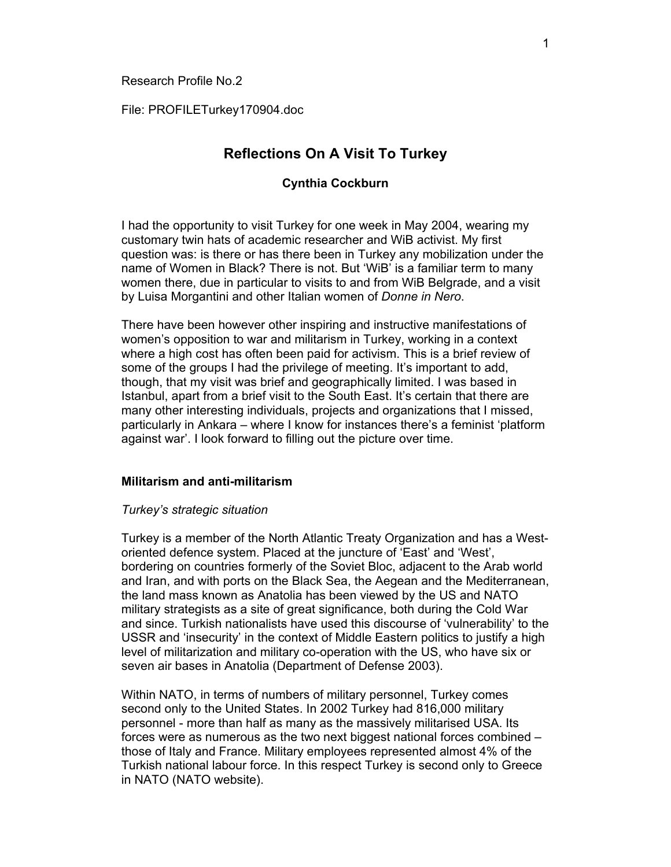File: PROFILETurkey170904.doc

# **Reflections On A Visit To Turkey**

# **Cynthia Cockburn**

I had the opportunity to visit Turkey for one week in May 2004, wearing my customary twin hats of academic researcher and WiB activist. My first question was: is there or has there been in Turkey any mobilization under the name of Women in Black? There is not. But 'WiB' is a familiar term to many women there, due in particular to visits to and from WiB Belgrade, and a visit by Luisa Morgantini and other Italian women of *Donne in Nero*.

There have been however other inspiring and instructive manifestations of women's opposition to war and militarism in Turkey, working in a context where a high cost has often been paid for activism. This is a brief review of some of the groups I had the privilege of meeting. It's important to add, though, that my visit was brief and geographically limited. I was based in Istanbul, apart from a brief visit to the South East. It's certain that there are many other interesting individuals, projects and organizations that I missed, particularly in Ankara – where I know for instances there's a feminist 'platform against war'. I look forward to filling out the picture over time.

# **Militarism and anti-militarism**

#### *Turkey's strategic situation*

Turkey is a member of the North Atlantic Treaty Organization and has a Westoriented defence system. Placed at the juncture of 'East' and 'West', bordering on countries formerly of the Soviet Bloc, adjacent to the Arab world and Iran, and with ports on the Black Sea, the Aegean and the Mediterranean, the land mass known as Anatolia has been viewed by the US and NATO military strategists as a site of great significance, both during the Cold War and since. Turkish nationalists have used this discourse of 'vulnerability' to the USSR and 'insecurity' in the context of Middle Eastern politics to justify a high level of militarization and military co-operation with the US, who have six or seven air bases in Anatolia (Department of Defense 2003).

Within NATO, in terms of numbers of military personnel, Turkey comes second only to the United States. In 2002 Turkey had 816,000 military personnel - more than half as many as the massively militarised USA. Its forces were as numerous as the two next biggest national forces combined – those of Italy and France. Military employees represented almost 4% of the Turkish national labour force. In this respect Turkey is second only to Greece in NATO (NATO website).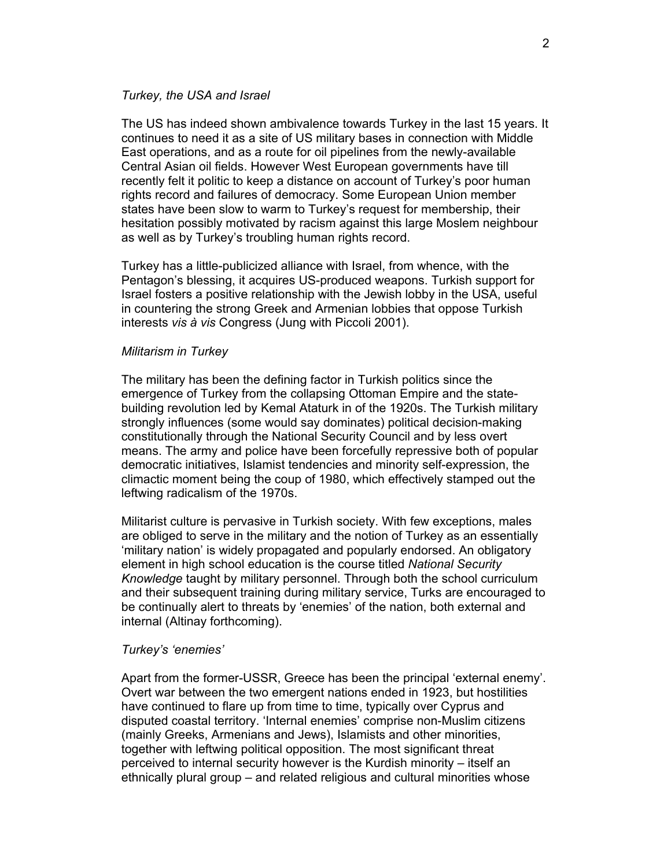# *Turkey, the USA and Israel*

The US has indeed shown ambivalence towards Turkey in the last 15 years. It continues to need it as a site of US military bases in connection with Middle East operations, and as a route for oil pipelines from the newly-available Central Asian oil fields. However West European governments have till recently felt it politic to keep a distance on account of Turkey's poor human rights record and failures of democracy. Some European Union member states have been slow to warm to Turkey's request for membership, their hesitation possibly motivated by racism against this large Moslem neighbour as well as by Turkey's troubling human rights record.

Turkey has a little-publicized alliance with Israel, from whence, with the Pentagon's blessing, it acquires US-produced weapons. Turkish support for Israel fosters a positive relationship with the Jewish lobby in the USA, useful in countering the strong Greek and Armenian lobbies that oppose Turkish interests *vis à vis* Congress (Jung with Piccoli 2001).

#### *Militarism in Turkey*

The military has been the defining factor in Turkish politics since the emergence of Turkey from the collapsing Ottoman Empire and the statebuilding revolution led by Kemal Ataturk in of the 1920s. The Turkish military strongly influences (some would say dominates) political decision-making constitutionally through the National Security Council and by less overt means. The army and police have been forcefully repressive both of popular democratic initiatives, Islamist tendencies and minority self-expression, the climactic moment being the coup of 1980, which effectively stamped out the leftwing radicalism of the 1970s.

Militarist culture is pervasive in Turkish society. With few exceptions, males are obliged to serve in the military and the notion of Turkey as an essentially 'military nation' is widely propagated and popularly endorsed. An obligatory element in high school education is the course titled *National Security Knowledge* taught by military personnel. Through both the school curriculum and their subsequent training during military service, Turks are encouraged to be continually alert to threats by 'enemies' of the nation, both external and internal (Altinay forthcoming).

#### *Turkey's 'enemies'*

Apart from the former-USSR, Greece has been the principal 'external enemy'. Overt war between the two emergent nations ended in 1923, but hostilities have continued to flare up from time to time, typically over Cyprus and disputed coastal territory. 'Internal enemies' comprise non-Muslim citizens (mainly Greeks, Armenians and Jews), Islamists and other minorities, together with leftwing political opposition. The most significant threat perceived to internal security however is the Kurdish minority – itself an ethnically plural group – and related religious and cultural minorities whose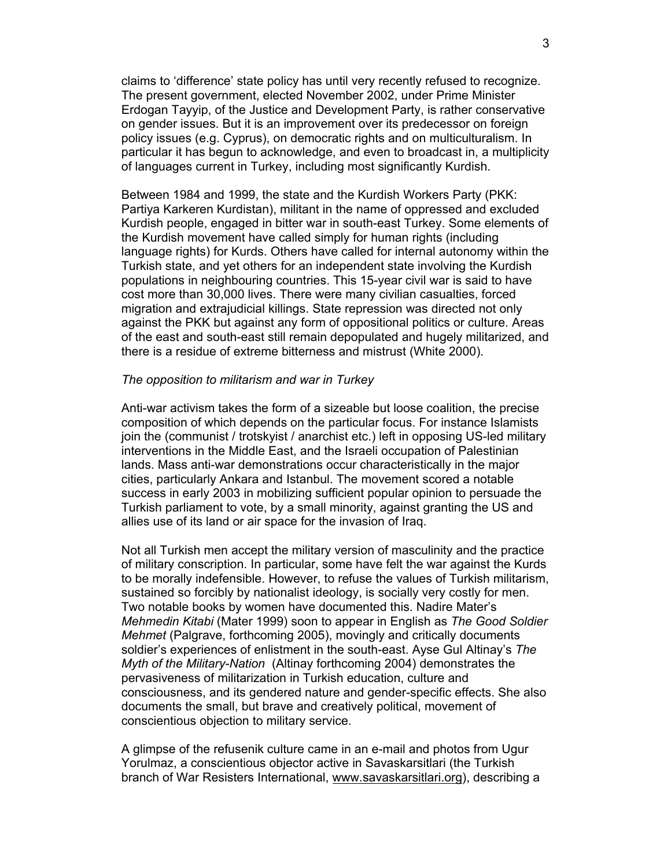claims to 'difference' state policy has until very recently refused to recognize. The present government, elected November 2002, under Prime Minister Erdogan Tayyip, of the Justice and Development Party, is rather conservative on gender issues. But it is an improvement over its predecessor on foreign policy issues (e.g. Cyprus), on democratic rights and on multiculturalism. In particular it has begun to acknowledge, and even to broadcast in, a multiplicity of languages current in Turkey, including most significantly Kurdish.

Between 1984 and 1999, the state and the Kurdish Workers Party (PKK: Partiya Karkeren Kurdistan), militant in the name of oppressed and excluded Kurdish people, engaged in bitter war in south-east Turkey. Some elements of the Kurdish movement have called simply for human rights (including language rights) for Kurds. Others have called for internal autonomy within the Turkish state, and yet others for an independent state involving the Kurdish populations in neighbouring countries. This 15-year civil war is said to have cost more than 30,000 lives. There were many civilian casualties, forced migration and extrajudicial killings. State repression was directed not only against the PKK but against any form of oppositional politics or culture. Areas of the east and south-east still remain depopulated and hugely militarized, and there is a residue of extreme bitterness and mistrust (White 2000).

### *The opposition to militarism and war in Turkey*

Anti-war activism takes the form of a sizeable but loose coalition, the precise composition of which depends on the particular focus. For instance Islamists join the (communist / trotskyist / anarchist etc.) left in opposing US-led military interventions in the Middle East, and the Israeli occupation of Palestinian lands. Mass anti-war demonstrations occur characteristically in the major cities, particularly Ankara and Istanbul. The movement scored a notable success in early 2003 in mobilizing sufficient popular opinion to persuade the Turkish parliament to vote, by a small minority, against granting the US and allies use of its land or air space for the invasion of Iraq.

Not all Turkish men accept the military version of masculinity and the practice of military conscription. In particular, some have felt the war against the Kurds to be morally indefensible. However, to refuse the values of Turkish militarism, sustained so forcibly by nationalist ideology, is socially very costly for men. Two notable books by women have documented this. Nadire Mater's *Mehmedin Kitabi* (Mater 1999) soon to appear in English as *The Good Soldier Mehmet* (Palgrave, forthcoming 2005), movingly and critically documents soldier's experiences of enlistment in the south-east. Ayse Gul Altinay's *The Myth of the Military-Nation* (Altinay forthcoming 2004) demonstrates the pervasiveness of militarization in Turkish education, culture and consciousness, and its gendered nature and gender-specific effects. She also documents the small, but brave and creatively political, movement of conscientious objection to military service.

A glimpse of the refusenik culture came in an e-mail and photos from Ugur Yorulmaz, a conscientious objector active in Savaskarsitlari (the Turkish branch of War Resisters International, www.savaskarsitlari.org), describing a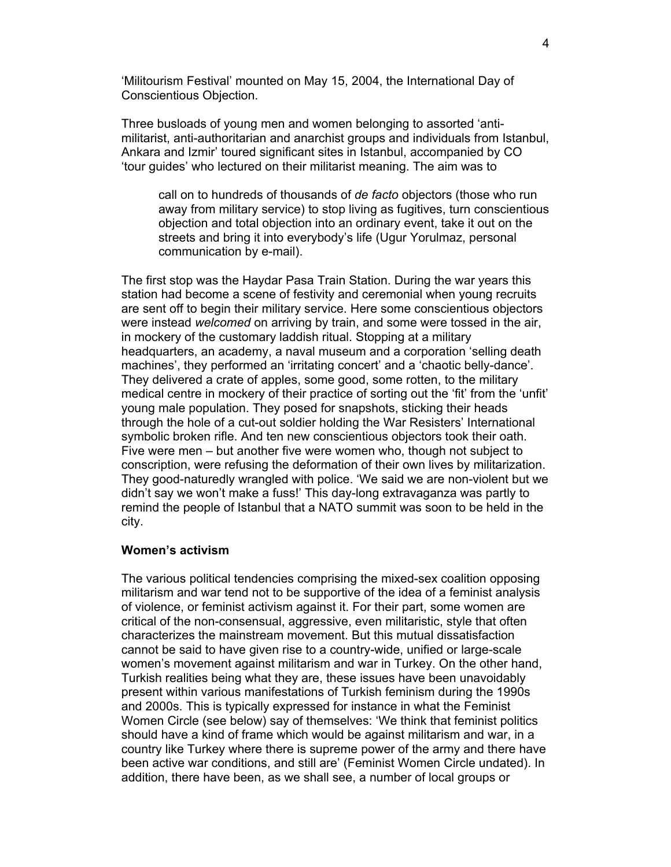'Militourism Festival' mounted on May 15, 2004, the International Day of Conscientious Objection.

Three busloads of young men and women belonging to assorted 'antimilitarist, anti-authoritarian and anarchist groups and individuals from Istanbul, Ankara and Izmir' toured significant sites in Istanbul, accompanied by CO 'tour guides' who lectured on their militarist meaning. The aim was to

call on to hundreds of thousands of *de facto* objectors (those who run away from military service) to stop living as fugitives, turn conscientious objection and total objection into an ordinary event, take it out on the streets and bring it into everybody's life (Ugur Yorulmaz, personal communication by e-mail).

The first stop was the Haydar Pasa Train Station. During the war years this station had become a scene of festivity and ceremonial when young recruits are sent off to begin their military service. Here some conscientious objectors were instead *welcomed* on arriving by train, and some were tossed in the air, in mockery of the customary laddish ritual. Stopping at a military headquarters, an academy, a naval museum and a corporation 'selling death machines', they performed an 'irritating concert' and a 'chaotic belly-dance'. They delivered a crate of apples, some good, some rotten, to the military medical centre in mockery of their practice of sorting out the 'fit' from the 'unfit' young male population. They posed for snapshots, sticking their heads through the hole of a cut-out soldier holding the War Resisters' International symbolic broken rifle. And ten new conscientious objectors took their oath. Five were men – but another five were women who, though not subject to conscription, were refusing the deformation of their own lives by militarization. They good-naturedly wrangled with police. 'We said we are non-violent but we didn't say we won't make a fuss!' This day-long extravaganza was partly to remind the people of Istanbul that a NATO summit was soon to be held in the city.

### **Women's activism**

The various political tendencies comprising the mixed-sex coalition opposing militarism and war tend not to be supportive of the idea of a feminist analysis of violence, or feminist activism against it. For their part, some women are critical of the non-consensual, aggressive, even militaristic, style that often characterizes the mainstream movement. But this mutual dissatisfaction cannot be said to have given rise to a country-wide, unified or large-scale women's movement against militarism and war in Turkey. On the other hand, Turkish realities being what they are, these issues have been unavoidably present within various manifestations of Turkish feminism during the 1990s and 2000s. This is typically expressed for instance in what the Feminist Women Circle (see below) say of themselves: 'We think that feminist politics should have a kind of frame which would be against militarism and war, in a country like Turkey where there is supreme power of the army and there have been active war conditions, and still are' (Feminist Women Circle undated). In addition, there have been, as we shall see, a number of local groups or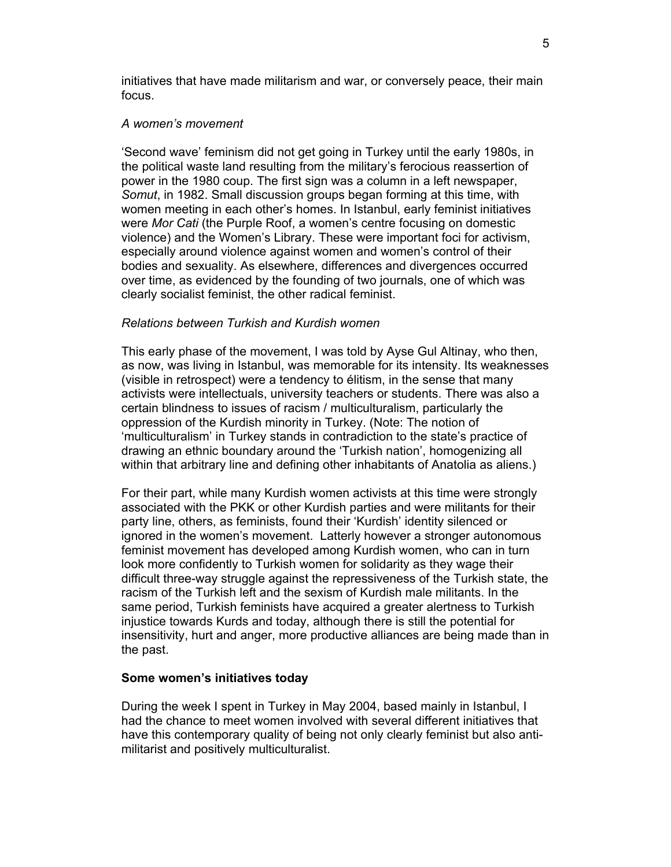initiatives that have made militarism and war, or conversely peace, their main focus.

#### *A women's movement*

'Second wave' feminism did not get going in Turkey until the early 1980s, in the political waste land resulting from the military's ferocious reassertion of power in the 1980 coup. The first sign was a column in a left newspaper, *Somut*, in 1982. Small discussion groups began forming at this time, with women meeting in each other's homes. In Istanbul, early feminist initiatives were *Mor Cati* (the Purple Roof, a women's centre focusing on domestic violence) and the Women's Library. These were important foci for activism, especially around violence against women and women's control of their bodies and sexuality. As elsewhere, differences and divergences occurred over time, as evidenced by the founding of two journals, one of which was clearly socialist feminist, the other radical feminist.

### *Relations between Turkish and Kurdish women*

This early phase of the movement, I was told by Ayse Gul Altinay, who then, as now, was living in Istanbul, was memorable for its intensity. Its weaknesses (visible in retrospect) were a tendency to élitism, in the sense that many activists were intellectuals, university teachers or students. There was also a certain blindness to issues of racism / multiculturalism, particularly the oppression of the Kurdish minority in Turkey. (Note: The notion of 'multiculturalism' in Turkey stands in contradiction to the state's practice of drawing an ethnic boundary around the 'Turkish nation', homogenizing all within that arbitrary line and defining other inhabitants of Anatolia as aliens.)

For their part, while many Kurdish women activists at this time were strongly associated with the PKK or other Kurdish parties and were militants for their party line, others, as feminists, found their 'Kurdish' identity silenced or ignored in the women's movement. Latterly however a stronger autonomous feminist movement has developed among Kurdish women, who can in turn look more confidently to Turkish women for solidarity as they wage their difficult three-way struggle against the repressiveness of the Turkish state, the racism of the Turkish left and the sexism of Kurdish male militants. In the same period, Turkish feminists have acquired a greater alertness to Turkish injustice towards Kurds and today, although there is still the potential for insensitivity, hurt and anger, more productive alliances are being made than in the past.

#### **Some women's initiatives today**

During the week I spent in Turkey in May 2004, based mainly in Istanbul, I had the chance to meet women involved with several different initiatives that have this contemporary quality of being not only clearly feminist but also antimilitarist and positively multiculturalist.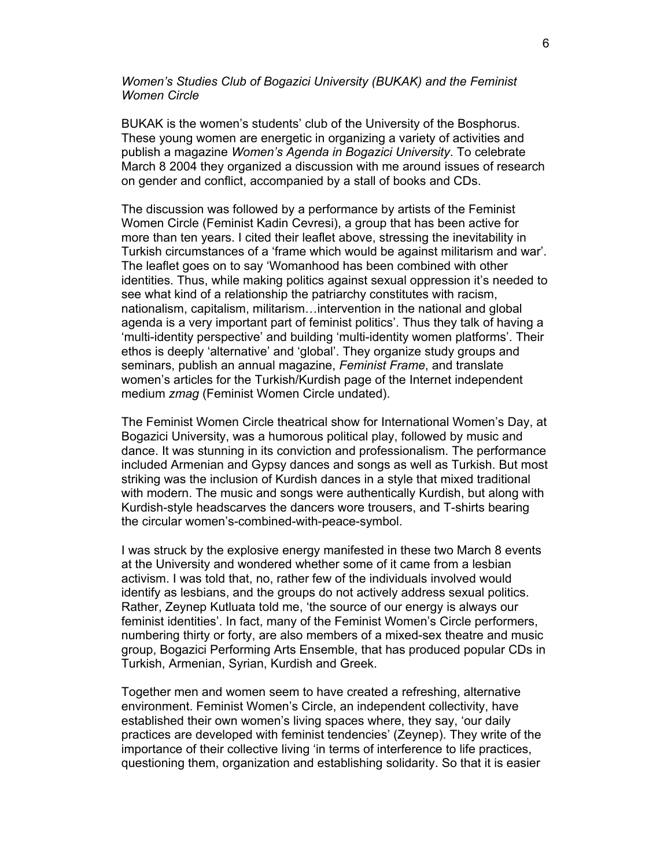# *Women's Studies Club of Bogazici University (BUKAK) and the Feminist Women Circle*

BUKAK is the women's students' club of the University of the Bosphorus. These young women are energetic in organizing a variety of activities and publish a magazine *Women's Agenda in Bogazici University*. To celebrate March 8 2004 they organized a discussion with me around issues of research on gender and conflict, accompanied by a stall of books and CDs.

The discussion was followed by a performance by artists of the Feminist Women Circle (Feminist Kadin Cevresi), a group that has been active for more than ten years. I cited their leaflet above, stressing the inevitability in Turkish circumstances of a 'frame which would be against militarism and war'. The leaflet goes on to say 'Womanhood has been combined with other identities. Thus, while making politics against sexual oppression it's needed to see what kind of a relationship the patriarchy constitutes with racism, nationalism, capitalism, militarism…intervention in the national and global agenda is a very important part of feminist politics'. Thus they talk of having a 'multi-identity perspective' and building 'multi-identity women platforms'. Their ethos is deeply 'alternative' and 'global'. They organize study groups and seminars, publish an annual magazine, *Feminist Frame*, and translate women's articles for the Turkish/Kurdish page of the Internet independent medium *zmag* (Feminist Women Circle undated).

The Feminist Women Circle theatrical show for International Women's Day, at Bogazici University, was a humorous political play, followed by music and dance. It was stunning in its conviction and professionalism. The performance included Armenian and Gypsy dances and songs as well as Turkish. But most striking was the inclusion of Kurdish dances in a style that mixed traditional with modern. The music and songs were authentically Kurdish, but along with Kurdish-style headscarves the dancers wore trousers, and T-shirts bearing the circular women's-combined-with-peace-symbol.

I was struck by the explosive energy manifested in these two March 8 events at the University and wondered whether some of it came from a lesbian activism. I was told that, no, rather few of the individuals involved would identify as lesbians, and the groups do not actively address sexual politics. Rather, Zeynep Kutluata told me, 'the source of our energy is always our feminist identities'. In fact, many of the Feminist Women's Circle performers, numbering thirty or forty, are also members of a mixed-sex theatre and music group, Bogazici Performing Arts Ensemble, that has produced popular CDs in Turkish, Armenian, Syrian, Kurdish and Greek.

Together men and women seem to have created a refreshing, alternative environment. Feminist Women's Circle, an independent collectivity, have established their own women's living spaces where, they say, 'our daily practices are developed with feminist tendencies' (Zeynep). They write of the importance of their collective living 'in terms of interference to life practices, questioning them, organization and establishing solidarity. So that it is easier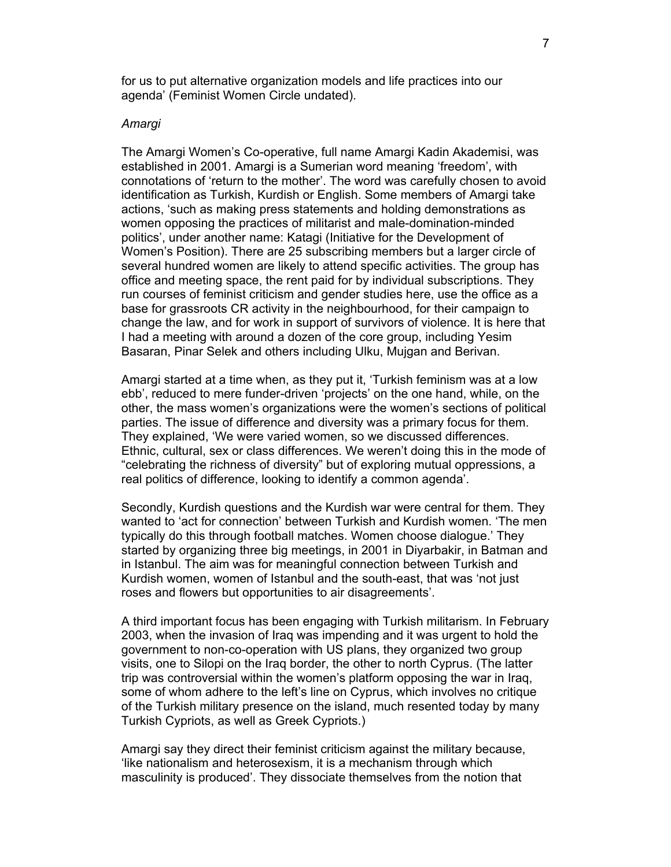for us to put alternative organization models and life practices into our agenda' (Feminist Women Circle undated).

#### *Amargi*

The Amargi Women's Co-operative, full name Amargi Kadin Akademisi, was established in 2001. Amargi is a Sumerian word meaning 'freedom', with connotations of 'return to the mother'. The word was carefully chosen to avoid identification as Turkish, Kurdish or English. Some members of Amargi take actions, 'such as making press statements and holding demonstrations as women opposing the practices of militarist and male-domination-minded politics', under another name: Katagi (Initiative for the Development of Women's Position). There are 25 subscribing members but a larger circle of several hundred women are likely to attend specific activities. The group has office and meeting space, the rent paid for by individual subscriptions. They run courses of feminist criticism and gender studies here, use the office as a base for grassroots CR activity in the neighbourhood, for their campaign to change the law, and for work in support of survivors of violence. It is here that I had a meeting with around a dozen of the core group, including Yesim Basaran, Pinar Selek and others including Ulku, Mujgan and Berivan.

Amargi started at a time when, as they put it, 'Turkish feminism was at a low ebb', reduced to mere funder-driven 'projects' on the one hand, while, on the other, the mass women's organizations were the women's sections of political parties. The issue of difference and diversity was a primary focus for them. They explained, 'We were varied women, so we discussed differences. Ethnic, cultural, sex or class differences. We weren't doing this in the mode of "celebrating the richness of diversity" but of exploring mutual oppressions, a real politics of difference, looking to identify a common agenda'.

Secondly, Kurdish questions and the Kurdish war were central for them. They wanted to 'act for connection' between Turkish and Kurdish women. 'The men typically do this through football matches. Women choose dialogue.' They started by organizing three big meetings, in 2001 in Diyarbakir, in Batman and in Istanbul. The aim was for meaningful connection between Turkish and Kurdish women, women of Istanbul and the south-east, that was 'not just roses and flowers but opportunities to air disagreements'.

A third important focus has been engaging with Turkish militarism. In February 2003, when the invasion of Iraq was impending and it was urgent to hold the government to non-co-operation with US plans, they organized two group visits, one to Silopi on the Iraq border, the other to north Cyprus. (The latter trip was controversial within the women's platform opposing the war in Iraq, some of whom adhere to the left's line on Cyprus, which involves no critique of the Turkish military presence on the island, much resented today by many Turkish Cypriots, as well as Greek Cypriots.)

Amargi say they direct their feminist criticism against the military because, 'like nationalism and heterosexism, it is a mechanism through which masculinity is produced'. They dissociate themselves from the notion that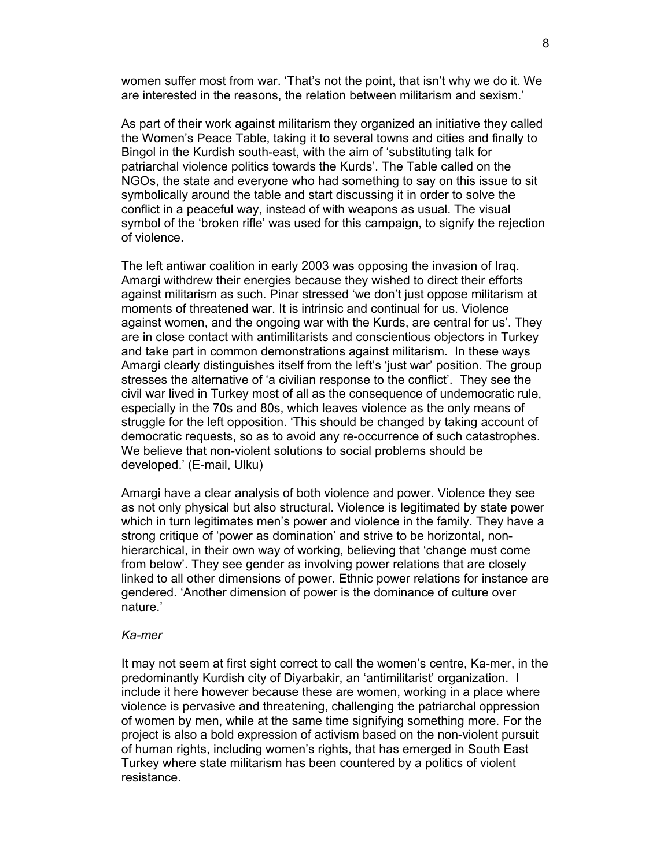women suffer most from war. 'That's not the point, that isn't why we do it. We are interested in the reasons, the relation between militarism and sexism.'

As part of their work against militarism they organized an initiative they called the Women's Peace Table, taking it to several towns and cities and finally to Bingol in the Kurdish south-east, with the aim of 'substituting talk for patriarchal violence politics towards the Kurds'. The Table called on the NGOs, the state and everyone who had something to say on this issue to sit symbolically around the table and start discussing it in order to solve the conflict in a peaceful way, instead of with weapons as usual. The visual symbol of the 'broken rifle' was used for this campaign, to signify the rejection of violence.

The left antiwar coalition in early 2003 was opposing the invasion of Iraq. Amargi withdrew their energies because they wished to direct their efforts against militarism as such. Pinar stressed 'we don't just oppose militarism at moments of threatened war. It is intrinsic and continual for us. Violence against women, and the ongoing war with the Kurds, are central for us'. They are in close contact with antimilitarists and conscientious objectors in Turkey and take part in common demonstrations against militarism. In these ways Amargi clearly distinguishes itself from the left's 'just war' position. The group stresses the alternative of 'a civilian response to the conflict'. They see the civil war lived in Turkey most of all as the consequence of undemocratic rule, especially in the 70s and 80s, which leaves violence as the only means of struggle for the left opposition. 'This should be changed by taking account of democratic requests, so as to avoid any re-occurrence of such catastrophes. We believe that non-violent solutions to social problems should be developed.' (E-mail, Ulku)

Amargi have a clear analysis of both violence and power. Violence they see as not only physical but also structural. Violence is legitimated by state power which in turn legitimates men's power and violence in the family. They have a strong critique of 'power as domination' and strive to be horizontal, nonhierarchical, in their own way of working, believing that 'change must come from below'. They see gender as involving power relations that are closely linked to all other dimensions of power. Ethnic power relations for instance are gendered. 'Another dimension of power is the dominance of culture over nature.'

#### *Ka-mer*

It may not seem at first sight correct to call the women's centre, Ka-mer, in the predominantly Kurdish city of Diyarbakir, an 'antimilitarist' organization. I include it here however because these are women, working in a place where violence is pervasive and threatening, challenging the patriarchal oppression of women by men, while at the same time signifying something more. For the project is also a bold expression of activism based on the non-violent pursuit of human rights, including women's rights, that has emerged in South East Turkey where state militarism has been countered by a politics of violent resistance.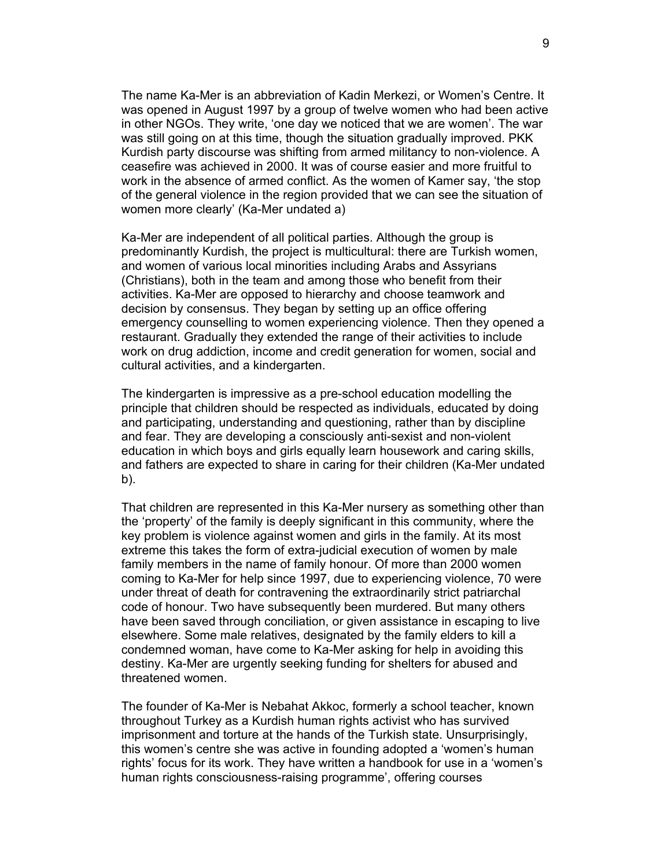The name Ka-Mer is an abbreviation of Kadin Merkezi, or Women's Centre. It was opened in August 1997 by a group of twelve women who had been active in other NGOs. They write, 'one day we noticed that we are women'. The war was still going on at this time, though the situation gradually improved. PKK Kurdish party discourse was shifting from armed militancy to non-violence. A ceasefire was achieved in 2000. It was of course easier and more fruitful to work in the absence of armed conflict. As the women of Kamer say, 'the stop of the general violence in the region provided that we can see the situation of women more clearly' (Ka-Mer undated a)

Ka-Mer are independent of all political parties. Although the group is predominantly Kurdish, the project is multicultural: there are Turkish women, and women of various local minorities including Arabs and Assyrians (Christians), both in the team and among those who benefit from their activities. Ka-Mer are opposed to hierarchy and choose teamwork and decision by consensus. They began by setting up an office offering emergency counselling to women experiencing violence. Then they opened a restaurant. Gradually they extended the range of their activities to include work on drug addiction, income and credit generation for women, social and cultural activities, and a kindergarten.

The kindergarten is impressive as a pre-school education modelling the principle that children should be respected as individuals, educated by doing and participating, understanding and questioning, rather than by discipline and fear. They are developing a consciously anti-sexist and non-violent education in which boys and girls equally learn housework and caring skills, and fathers are expected to share in caring for their children (Ka-Mer undated b).

That children are represented in this Ka-Mer nursery as something other than the 'property' of the family is deeply significant in this community, where the key problem is violence against women and girls in the family. At its most extreme this takes the form of extra-judicial execution of women by male family members in the name of family honour. Of more than 2000 women coming to Ka-Mer for help since 1997, due to experiencing violence, 70 were under threat of death for contravening the extraordinarily strict patriarchal code of honour. Two have subsequently been murdered. But many others have been saved through conciliation, or given assistance in escaping to live elsewhere. Some male relatives, designated by the family elders to kill a condemned woman, have come to Ka-Mer asking for help in avoiding this destiny. Ka-Mer are urgently seeking funding for shelters for abused and threatened women.

The founder of Ka-Mer is Nebahat Akkoc, formerly a school teacher, known throughout Turkey as a Kurdish human rights activist who has survived imprisonment and torture at the hands of the Turkish state. Unsurprisingly, this women's centre she was active in founding adopted a 'women's human rights' focus for its work. They have written a handbook for use in a 'women's human rights consciousness-raising programme', offering courses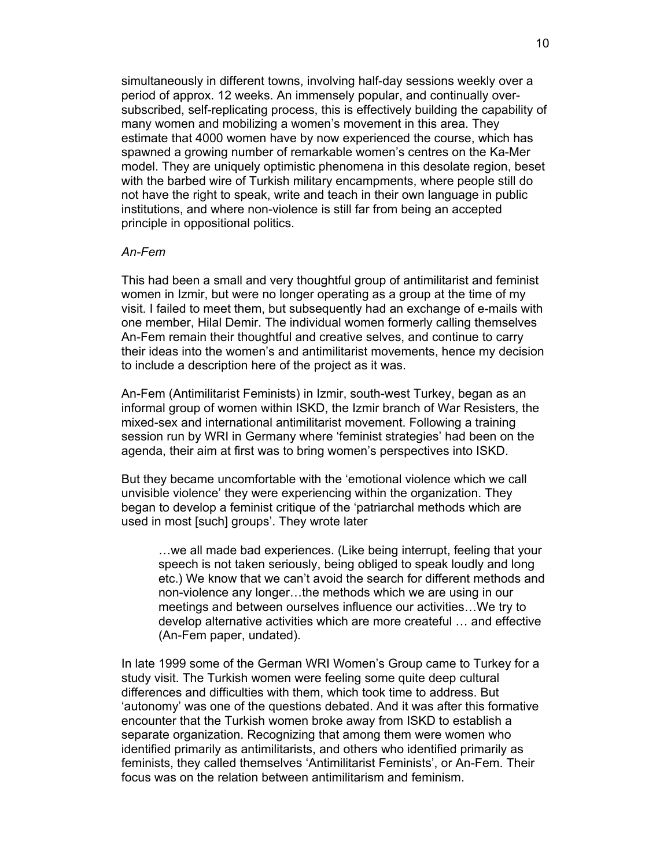simultaneously in different towns, involving half-day sessions weekly over a period of approx. 12 weeks. An immensely popular, and continually oversubscribed, self-replicating process, this is effectively building the capability of many women and mobilizing a women's movement in this area. They estimate that 4000 women have by now experienced the course, which has spawned a growing number of remarkable women's centres on the Ka-Mer model. They are uniquely optimistic phenomena in this desolate region, beset with the barbed wire of Turkish military encampments, where people still do not have the right to speak, write and teach in their own language in public institutions, and where non-violence is still far from being an accepted principle in oppositional politics.

# *An-Fem*

This had been a small and very thoughtful group of antimilitarist and feminist women in Izmir, but were no longer operating as a group at the time of my visit. I failed to meet them, but subsequently had an exchange of e-mails with one member, Hilal Demir. The individual women formerly calling themselves An-Fem remain their thoughtful and creative selves, and continue to carry their ideas into the women's and antimilitarist movements, hence my decision to include a description here of the project as it was.

An-Fem (Antimilitarist Feminists) in Izmir, south-west Turkey, began as an informal group of women within ISKD, the Izmir branch of War Resisters, the mixed-sex and international antimilitarist movement. Following a training session run by WRI in Germany where 'feminist strategies' had been on the agenda, their aim at first was to bring women's perspectives into ISKD.

But they became uncomfortable with the 'emotional violence which we call unvisible violence' they were experiencing within the organization. They began to develop a feminist critique of the 'patriarchal methods which are used in most [such] groups'. They wrote later

…we all made bad experiences. (Like being interrupt, feeling that your speech is not taken seriously, being obliged to speak loudly and long etc.) We know that we can't avoid the search for different methods and non-violence any longer…the methods which we are using in our meetings and between ourselves influence our activities…We try to develop alternative activities which are more createful … and effective (An-Fem paper, undated).

In late 1999 some of the German WRI Women's Group came to Turkey for a study visit. The Turkish women were feeling some quite deep cultural differences and difficulties with them, which took time to address. But 'autonomy' was one of the questions debated. And it was after this formative encounter that the Turkish women broke away from ISKD to establish a separate organization. Recognizing that among them were women who identified primarily as antimilitarists, and others who identified primarily as feminists, they called themselves 'Antimilitarist Feminists', or An-Fem. Their focus was on the relation between antimilitarism and feminism.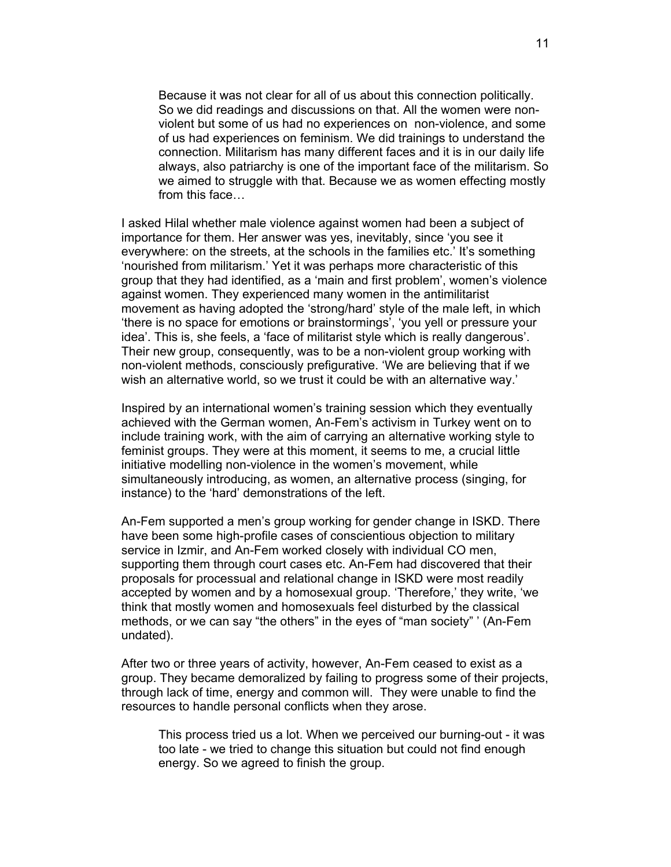Because it was not clear for all of us about this connection politically. So we did readings and discussions on that. All the women were nonviolent but some of us had no experiences on non-violence, and some of us had experiences on feminism. We did trainings to understand the connection. Militarism has many different faces and it is in our daily life always, also patriarchy is one of the important face of the militarism. So we aimed to struggle with that. Because we as women effecting mostly from this face…

I asked Hilal whether male violence against women had been a subject of importance for them. Her answer was yes, inevitably, since 'you see it everywhere: on the streets, at the schools in the families etc.' It's something 'nourished from militarism.' Yet it was perhaps more characteristic of this group that they had identified, as a 'main and first problem', women's violence against women. They experienced many women in the antimilitarist movement as having adopted the 'strong/hard' style of the male left, in which 'there is no space for emotions or brainstormings', 'you yell or pressure your idea'. This is, she feels, a 'face of militarist style which is really dangerous'. Their new group, consequently, was to be a non-violent group working with non-violent methods, consciously prefigurative. 'We are believing that if we wish an alternative world, so we trust it could be with an alternative way.'

Inspired by an international women's training session which they eventually achieved with the German women, An-Fem's activism in Turkey went on to include training work, with the aim of carrying an alternative working style to feminist groups. They were at this moment, it seems to me, a crucial little initiative modelling non-violence in the women's movement, while simultaneously introducing, as women, an alternative process (singing, for instance) to the 'hard' demonstrations of the left.

An-Fem supported a men's group working for gender change in ISKD. There have been some high-profile cases of conscientious objection to military service in Izmir, and An-Fem worked closely with individual CO men, supporting them through court cases etc. An-Fem had discovered that their proposals for processual and relational change in ISKD were most readily accepted by women and by a homosexual group. 'Therefore,' they write, 'we think that mostly women and homosexuals feel disturbed by the classical methods, or we can say "the others" in the eyes of "man society" ' (An-Fem undated).

After two or three years of activity, however, An-Fem ceased to exist as a group. They became demoralized by failing to progress some of their projects, through lack of time, energy and common will. They were unable to find the resources to handle personal conflicts when they arose.

This process tried us a lot. When we perceived our burning-out - it was too late - we tried to change this situation but could not find enough energy. So we agreed to finish the group.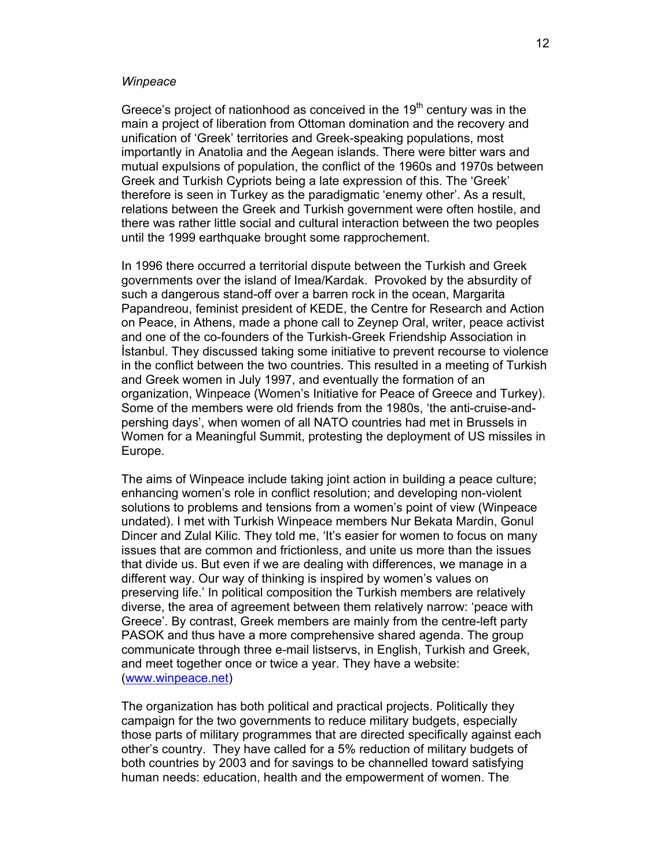#### *Winpeace*

Greece's project of nationhood as conceived in the  $19<sup>th</sup>$  century was in the main a project of liberation from Ottoman domination and the recovery and unification of 'Greek' territories and Greek-speaking populations, most importantly in Anatolia and the Aegean islands. There were bitter wars and mutual expulsions of population, the conflict of the 1960s and 1970s between Greek and Turkish Cypriots being a late expression of this. The 'Greek' therefore is seen in Turkey as the paradigmatic 'enemy other'. As a result, relations between the Greek and Turkish government were often hostile, and there was rather little social and cultural interaction between the two peoples until the 1999 earthquake brought some rapprochement.

In 1996 there occurred a territorial dispute between the Turkish and Greek governments over the island of Imea/Kardak. Provoked by the absurdity of such a dangerous stand-off over a barren rock in the ocean, Margarita Papandreou, feminist president of KEDE, the Centre for Research and Action on Peace, in Athens, made a phone call to Zeynep Oral, writer, peace activist and one of the co-founders of the Turkish-Greek Friendship Association in **Istanbul. They discussed taking some initiative to prevent recourse to violence** in the conflict between the two countries. This resulted in a meeting of Turkish and Greek women in July 1997, and eventually the formation of an organization, Winpeace (Women's Initiative for Peace of Greece and Turkey). Some of the members were old friends from the 1980s, 'the anti-cruise-andpershing days', when women of all NATO countries had met in Brussels in Women for a Meaningful Summit, protesting the deployment of US missiles in Europe.

The aims of Winpeace include taking joint action in building a peace culture; enhancing women's role in conflict resolution; and developing non-violent solutions to problems and tensions from a women's point of view (Winpeace undated). I met with Turkish Winpeace members Nur Bekata Mardin, Gonul Dincer and Zulal Kilic. They told me, 'It's easier for women to focus on many issues that are common and frictionless, and unite us more than the issues that divide us. But even if we are dealing with differences, we manage in a different way. Our way of thinking is inspired by women's values on preserving life.' In political composition the Turkish members are relatively diverse, the area of agreement between them relatively narrow: 'peace with Greece'. By contrast, Greek members are mainly from the centre-left party PASOK and thus have a more comprehensive shared agenda. The group communicate through three e-mail listservs, in English, Turkish and Greek, and meet together once or twice a year. They have a website: (www.winpeace.net)

The organization has both political and practical projects. Politically they campaign for the two governments to reduce military budgets, especially those parts of military programmes that are directed specifically against each other's country. They have called for a 5% reduction of military budgets of both countries by 2003 and for savings to be channelled toward satisfying human needs: education, health and the empowerment of women. The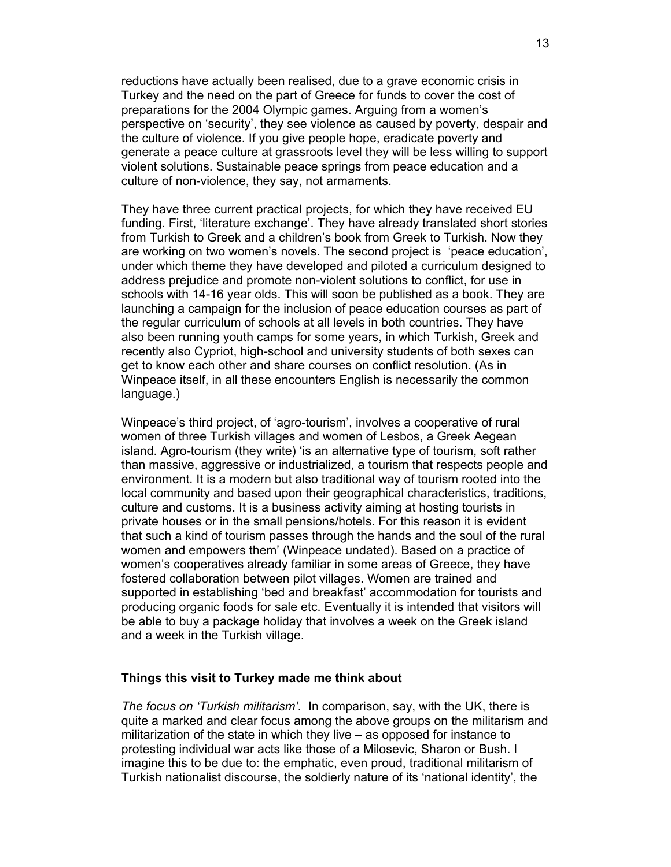reductions have actually been realised, due to a grave economic crisis in Turkey and the need on the part of Greece for funds to cover the cost of preparations for the 2004 Olympic games. Arguing from a women's perspective on 'security', they see violence as caused by poverty, despair and the culture of violence. If you give people hope, eradicate poverty and generate a peace culture at grassroots level they will be less willing to support violent solutions. Sustainable peace springs from peace education and a culture of non-violence, they say, not armaments.

They have three current practical projects, for which they have received EU funding. First, 'literature exchange'. They have already translated short stories from Turkish to Greek and a children's book from Greek to Turkish. Now they are working on two women's novels. The second project is 'peace education', under which theme they have developed and piloted a curriculum designed to address prejudice and promote non-violent solutions to conflict, for use in schools with 14-16 year olds. This will soon be published as a book. They are launching a campaign for the inclusion of peace education courses as part of the regular curriculum of schools at all levels in both countries. They have also been running youth camps for some years, in which Turkish, Greek and recently also Cypriot, high-school and university students of both sexes can get to know each other and share courses on conflict resolution. (As in Winpeace itself, in all these encounters English is necessarily the common language.)

Winpeace's third project, of 'agro-tourism', involves a cooperative of rural women of three Turkish villages and women of Lesbos, a Greek Aegean island. Agro-tourism (they write) 'is an alternative type of tourism, soft rather than massive, aggressive or industrialized, a tourism that respects people and environment. It is a modern but also traditional way of tourism rooted into the local community and based upon their geographical characteristics, traditions, culture and customs. It is a business activity aiming at hosting tourists in private houses or in the small pensions/hotels. For this reason it is evident that such a kind of tourism passes through the hands and the soul of the rural women and empowers them' (Winpeace undated). Based on a practice of women's cooperatives already familiar in some areas of Greece, they have fostered collaboration between pilot villages. Women are trained and supported in establishing 'bed and breakfast' accommodation for tourists and producing organic foods for sale etc. Eventually it is intended that visitors will be able to buy a package holiday that involves a week on the Greek island and a week in the Turkish village.

# **Things this visit to Turkey made me think about**

*The focus on 'Turkish militarism'.* In comparison, say, with the UK, there is quite a marked and clear focus among the above groups on the militarism and militarization of the state in which they live – as opposed for instance to protesting individual war acts like those of a Milosevic, Sharon or Bush. I imagine this to be due to: the emphatic, even proud, traditional militarism of Turkish nationalist discourse, the soldierly nature of its 'national identity', the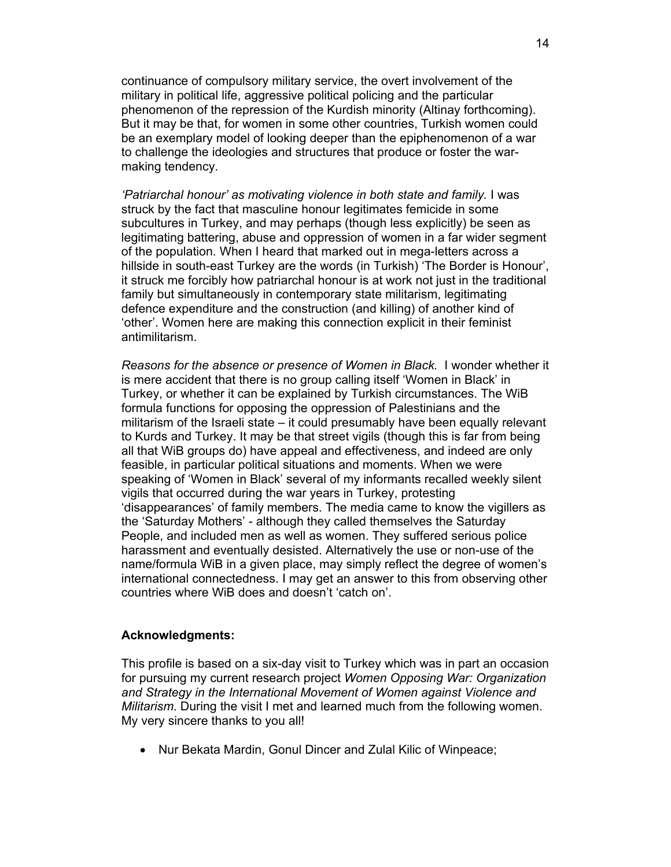continuance of compulsory military service, the overt involvement of the military in political life, aggressive political policing and the particular phenomenon of the repression of the Kurdish minority (Altinay forthcoming). But it may be that, for women in some other countries, Turkish women could be an exemplary model of looking deeper than the epiphenomenon of a war to challenge the ideologies and structures that produce or foster the warmaking tendency.

*'Patriarchal honour' as motivating violence in both state and family.* I was struck by the fact that masculine honour legitimates femicide in some subcultures in Turkey, and may perhaps (though less explicitly) be seen as legitimating battering, abuse and oppression of women in a far wider segment of the population. When I heard that marked out in mega-letters across a hillside in south-east Turkey are the words (in Turkish) 'The Border is Honour', it struck me forcibly how patriarchal honour is at work not just in the traditional family but simultaneously in contemporary state militarism, legitimating defence expenditure and the construction (and killing) of another kind of 'other'. Women here are making this connection explicit in their feminist antimilitarism.

*Reasons for the absence or presence of Women in Black.* I wonder whether it is mere accident that there is no group calling itself 'Women in Black' in Turkey, or whether it can be explained by Turkish circumstances. The WiB formula functions for opposing the oppression of Palestinians and the militarism of the Israeli state – it could presumably have been equally relevant to Kurds and Turkey. It may be that street vigils (though this is far from being all that WiB groups do) have appeal and effectiveness, and indeed are only feasible, in particular political situations and moments. When we were speaking of 'Women in Black' several of my informants recalled weekly silent vigils that occurred during the war years in Turkey, protesting 'disappearances' of family members. The media came to know the vigillers as the 'Saturday Mothers' - although they called themselves the Saturday People, and included men as well as women. They suffered serious police harassment and eventually desisted. Alternatively the use or non-use of the name/formula WiB in a given place, may simply reflect the degree of women's international connectedness. I may get an answer to this from observing other countries where WiB does and doesn't 'catch on'.

### **Acknowledgments:**

This profile is based on a six-day visit to Turkey which was in part an occasion for pursuing my current research project *Women Opposing War: Organization and Strategy in the International Movement of Women against Violence and Militarism*. During the visit I met and learned much from the following women. My very sincere thanks to you all!

• Nur Bekata Mardin, Gonul Dincer and Zulal Kilic of Winpeace;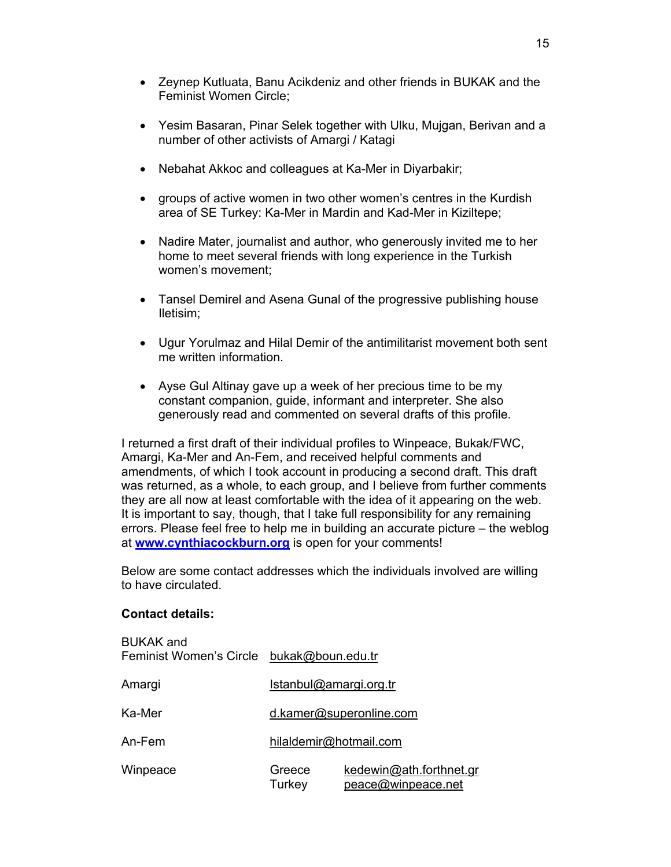- Zeynep Kutluata, Banu Acikdeniz and other friends in BUKAK and the Feminist Women Circle;
- Yesim Basaran, Pinar Selek together with Ulku, Mujgan, Berivan and a number of other activists of Amargi / Katagi
- Nebahat Akkoc and colleagues at Ka-Mer in Diyarbakir;
- groups of active women in two other women's centres in the Kurdish area of SE Turkey: Ka-Mer in Mardin and Kad-Mer in Kiziltepe;
- Nadire Mater, journalist and author, who generously invited me to her home to meet several friends with long experience in the Turkish women's movement;
- Tansel Demirel and Asena Gunal of the progressive publishing house Iletisim;
- Ugur Yorulmaz and Hilal Demir of the antimilitarist movement both sent me written information.
- Ayse Gul Altinay gave up a week of her precious time to be my constant companion, guide, informant and interpreter. She also generously read and commented on several drafts of this profile.

I returned a first draft of their individual profiles to Winpeace, Bukak/FWC, Amargi, Ka-Mer and An-Fem, and received helpful comments and amendments, of which I took account in producing a second draft. This draft was returned, as a whole, to each group, and I believe from further comments they are all now at least comfortable with the idea of it appearing on the web. It is important to say, though, that I take full responsibility for any remaining errors. Please feel free to help me in building an accurate picture – the weblog at **www.cynthiacockburn.org** is open for your comments!

Below are some contact addresses which the individuals involved are willing to have circulated.

# **Contact details:**

| <b>BUKAK and</b><br>Feminist Women's Circle | bukak@boun.edu.tr       |                                               |
|---------------------------------------------|-------------------------|-----------------------------------------------|
| Amargi                                      | Istanbul@amargi.org.tr  |                                               |
| Ka-Mer                                      | d.kamer@superonline.com |                                               |
| An-Fem                                      | hilaldemir@hotmail.com  |                                               |
| Winpeace                                    | Greece<br>Turkey        | kedewin@ath.forthnet.gr<br>peace@winpeace.net |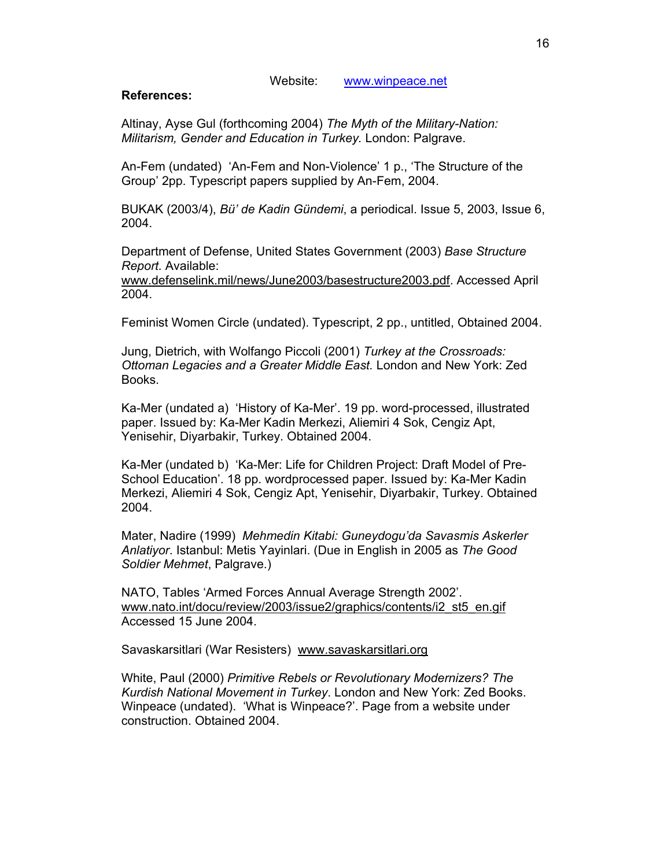Website: www.winpeace.net

# **References:**

Altinay, Ayse Gul (forthcoming 2004) *The Myth of the Military-Nation: Militarism, Gender and Education in Turkey.* London: Palgrave.

An-Fem (undated) 'An-Fem and Non-Violence' 1 p., 'The Structure of the Group' 2pp. Typescript papers supplied by An-Fem, 2004.

BUKAK (2003/4), *Bü' de Kadin Gündemi*, a periodical. Issue 5, 2003, Issue 6, 2004.

Department of Defense, United States Government (2003) *Base Structure Report.* Available:

www.defenselink.mil/news/June2003/basestructure2003.pdf. Accessed April 2004.

Feminist Women Circle (undated). Typescript, 2 pp., untitled, Obtained 2004.

Jung, Dietrich, with Wolfango Piccoli (2001) *Turkey at the Crossroads: Ottoman Legacies and a Greater Middle East.* London and New York: Zed Books.

Ka-Mer (undated a) 'History of Ka-Mer'. 19 pp. word-processed, illustrated paper. Issued by: Ka-Mer Kadin Merkezi, Aliemiri 4 Sok, Cengiz Apt, Yenisehir, Diyarbakir, Turkey. Obtained 2004.

Ka-Mer (undated b) 'Ka-Mer: Life for Children Project: Draft Model of Pre-School Education'. 18 pp. wordprocessed paper. Issued by: Ka-Mer Kadin Merkezi, Aliemiri 4 Sok, Cengiz Apt, Yenisehir, Diyarbakir, Turkey. Obtained 2004.

Mater, Nadire (1999) *Mehmedin Kitabi: Guneydogu'da Savasmis Askerler Anlatiyor*. Istanbul: Metis Yayinlari. (Due in English in 2005 as *The Good Soldier Mehmet*, Palgrave.)

NATO, Tables 'Armed Forces Annual Average Strength 2002'. www.nato.int/docu/review/2003/issue2/graphics/contents/i2\_st5\_en.gif Accessed 15 June 2004.

Savaskarsitlari (War Resisters) www.savaskarsitlari.org

White, Paul (2000) *Primitive Rebels or Revolutionary Modernizers? The Kurdish National Movement in Turkey*. London and New York: Zed Books. Winpeace (undated). 'What is Winpeace?'. Page from a website under construction. Obtained 2004.